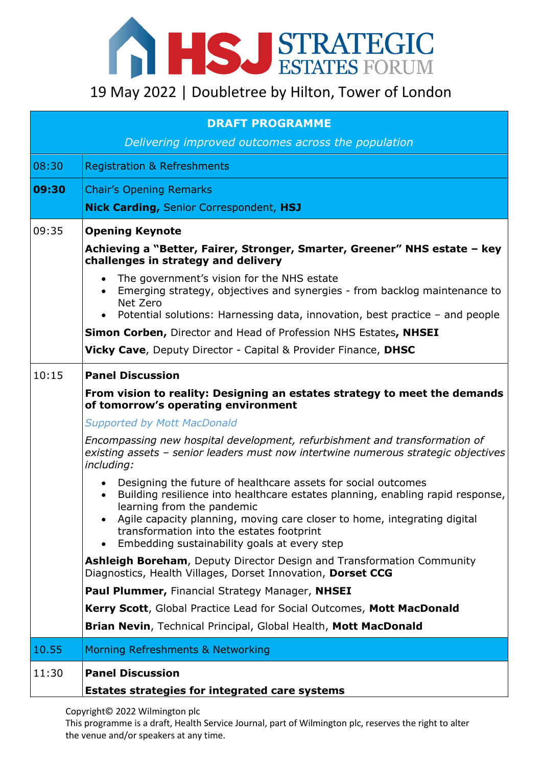

| <b>DRAFT PROGRAMME</b> |                                                                                                                                                                                                                                                                                                                                                                                  |  |
|------------------------|----------------------------------------------------------------------------------------------------------------------------------------------------------------------------------------------------------------------------------------------------------------------------------------------------------------------------------------------------------------------------------|--|
|                        | Delivering improved outcomes across the population                                                                                                                                                                                                                                                                                                                               |  |
| 08:30                  | <b>Registration &amp; Refreshments</b>                                                                                                                                                                                                                                                                                                                                           |  |
| 09:30                  | <b>Chair's Opening Remarks</b>                                                                                                                                                                                                                                                                                                                                                   |  |
|                        | Nick Carding, Senior Correspondent, HSJ                                                                                                                                                                                                                                                                                                                                          |  |
| 09:35                  | <b>Opening Keynote</b>                                                                                                                                                                                                                                                                                                                                                           |  |
|                        | Achieving a "Better, Fairer, Stronger, Smarter, Greener" NHS estate - key<br>challenges in strategy and delivery                                                                                                                                                                                                                                                                 |  |
|                        | The government's vision for the NHS estate<br>$\bullet$<br>Emerging strategy, objectives and synergies - from backlog maintenance to<br>Net Zero                                                                                                                                                                                                                                 |  |
|                        | Potential solutions: Harnessing data, innovation, best practice - and people                                                                                                                                                                                                                                                                                                     |  |
|                        | Simon Corben, Director and Head of Profession NHS Estates, NHSEI                                                                                                                                                                                                                                                                                                                 |  |
|                        | <b>Vicky Cave, Deputy Director - Capital &amp; Provider Finance, DHSC</b>                                                                                                                                                                                                                                                                                                        |  |
| 10:15                  | <b>Panel Discussion</b>                                                                                                                                                                                                                                                                                                                                                          |  |
|                        | From vision to reality: Designing an estates strategy to meet the demands<br>of tomorrow's operating environment                                                                                                                                                                                                                                                                 |  |
|                        | <b>Supported by Mott MacDonald</b>                                                                                                                                                                                                                                                                                                                                               |  |
|                        | Encompassing new hospital development, refurbishment and transformation of<br>existing assets - senior leaders must now intertwine numerous strategic objectives<br>including:                                                                                                                                                                                                   |  |
|                        | Designing the future of healthcare assets for social outcomes<br>Building resilience into healthcare estates planning, enabling rapid response,<br>$\bullet$<br>learning from the pandemic<br>Agile capacity planning, moving care closer to home, integrating digital<br>transformation into the estates footprint<br>Embedding sustainability goals at every step<br>$\bullet$ |  |
|                        | <b>Ashleigh Boreham, Deputy Director Design and Transformation Community</b><br>Diagnostics, Health Villages, Dorset Innovation, Dorset CCG                                                                                                                                                                                                                                      |  |
|                        | Paul Plummer, Financial Strategy Manager, NHSEI                                                                                                                                                                                                                                                                                                                                  |  |
|                        | Kerry Scott, Global Practice Lead for Social Outcomes, Mott MacDonald                                                                                                                                                                                                                                                                                                            |  |
|                        | Brian Nevin, Technical Principal, Global Health, Mott MacDonald                                                                                                                                                                                                                                                                                                                  |  |
| 10.55                  | Morning Refreshments & Networking                                                                                                                                                                                                                                                                                                                                                |  |
| 11:30                  | <b>Panel Discussion</b>                                                                                                                                                                                                                                                                                                                                                          |  |
|                        | Estates strategies for integrated care systems                                                                                                                                                                                                                                                                                                                                   |  |

Copyright© 2022 Wilmington plc

This programme is a draft, Health Service Journal, part of Wilmington plc, reserves the right to alter the venue and/or speakers at any time.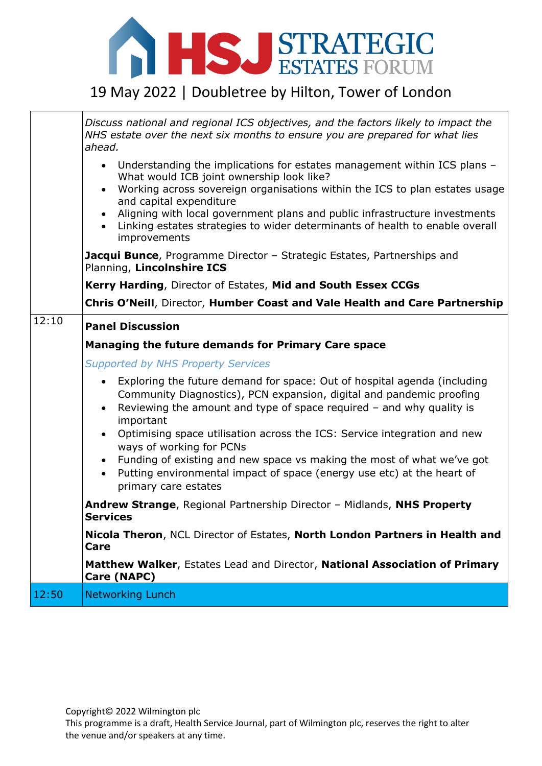

|       | Discuss national and regional ICS objectives, and the factors likely to impact the<br>NHS estate over the next six months to ensure you are prepared for what lies<br>ahead.                                                                                                                                                                                                                                                                                       |
|-------|--------------------------------------------------------------------------------------------------------------------------------------------------------------------------------------------------------------------------------------------------------------------------------------------------------------------------------------------------------------------------------------------------------------------------------------------------------------------|
|       | • Understanding the implications for estates management within ICS plans -<br>What would ICB joint ownership look like?<br>Working across sovereign organisations within the ICS to plan estates usage<br>$\bullet$<br>and capital expenditure<br>Aligning with local government plans and public infrastructure investments<br>• Linking estates strategies to wider determinants of health to enable overall<br>improvements                                     |
|       | Jacqui Bunce, Programme Director - Strategic Estates, Partnerships and<br>Planning, Lincolnshire ICS                                                                                                                                                                                                                                                                                                                                                               |
|       | Kerry Harding, Director of Estates, Mid and South Essex CCGs                                                                                                                                                                                                                                                                                                                                                                                                       |
|       | Chris O'Neill, Director, Humber Coast and Vale Health and Care Partnership                                                                                                                                                                                                                                                                                                                                                                                         |
| 12:10 | <b>Panel Discussion</b>                                                                                                                                                                                                                                                                                                                                                                                                                                            |
|       | Managing the future demands for Primary Care space                                                                                                                                                                                                                                                                                                                                                                                                                 |
|       | <b>Supported by NHS Property Services</b>                                                                                                                                                                                                                                                                                                                                                                                                                          |
|       | Exploring the future demand for space: Out of hospital agenda (including<br>$\bullet$<br>Community Diagnostics), PCN expansion, digital and pandemic proofing<br>Reviewing the amount and type of space required $-$ and why quality is<br>$\bullet$<br>important<br>Optimising space utilisation across the ICS: Service integration and new<br>$\bullet$<br>ways of working for PCNs<br>• Funding of existing and new space vs making the most of what we've got |
|       | Putting environmental impact of space (energy use etc) at the heart of<br>$\bullet$<br>primary care estates                                                                                                                                                                                                                                                                                                                                                        |
|       | Andrew Strange, Regional Partnership Director - Midlands, NHS Property<br><b>Services</b>                                                                                                                                                                                                                                                                                                                                                                          |
|       | Nicola Theron, NCL Director of Estates, North London Partners in Health and<br>Care                                                                                                                                                                                                                                                                                                                                                                                |
|       | Matthew Walker, Estates Lead and Director, National Association of Primary<br>Care (NAPC)                                                                                                                                                                                                                                                                                                                                                                          |
| 12:50 | <b>Networking Lunch</b>                                                                                                                                                                                                                                                                                                                                                                                                                                            |

This programme is a draft, Health Service Journal, part of Wilmington plc, reserves the right to alter the venue and/or speakers at any time.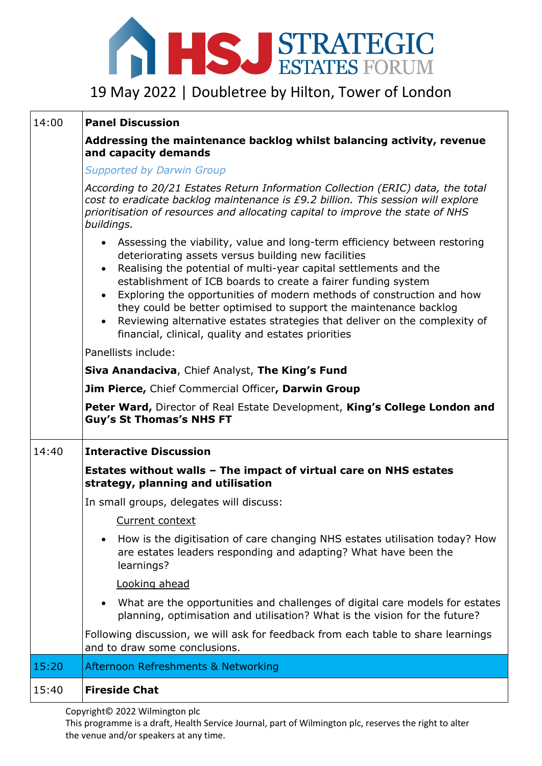

### 14:00 **Panel Discussion**

#### **Addressing the maintenance backlog whilst balancing activity, revenue and capacity demands**

*Supported by Darwin Group*

|       | Peter Ward, Director of Real Estate Development, King's College London and                                                                                                                                               |
|-------|--------------------------------------------------------------------------------------------------------------------------------------------------------------------------------------------------------------------------|
|       | <b>Guy's St Thomas's NHS FT</b>                                                                                                                                                                                          |
|       | Jim Pierce, Chief Commercial Officer, Darwin Group                                                                                                                                                                       |
|       | Siva Anandaciva, Chief Analyst, The King's Fund                                                                                                                                                                          |
|       | Panellists include:                                                                                                                                                                                                      |
|       | • Reviewing alternative estates strategies that deliver on the complexity of<br>financial, clinical, quality and estates priorities                                                                                      |
|       | establishment of ICB boards to create a fairer funding system<br>Exploring the opportunities of modern methods of construction and how<br>$\bullet$<br>they could be better optimised to support the maintenance backlog |
|       |                                                                                                                                                                                                                          |
|       |                                                                                                                                                                                                                          |
|       |                                                                                                                                                                                                                          |
|       |                                                                                                                                                                                                                          |
|       |                                                                                                                                                                                                                          |
|       |                                                                                                                                                                                                                          |
|       |                                                                                                                                                                                                                          |
|       |                                                                                                                                                                                                                          |
|       |                                                                                                                                                                                                                          |
|       |                                                                                                                                                                                                                          |
|       |                                                                                                                                                                                                                          |
|       |                                                                                                                                                                                                                          |
|       |                                                                                                                                                                                                                          |
|       |                                                                                                                                                                                                                          |
|       |                                                                                                                                                                                                                          |
|       |                                                                                                                                                                                                                          |
|       |                                                                                                                                                                                                                          |
|       |                                                                                                                                                                                                                          |
|       |                                                                                                                                                                                                                          |
|       |                                                                                                                                                                                                                          |
|       |                                                                                                                                                                                                                          |
|       |                                                                                                                                                                                                                          |
|       |                                                                                                                                                                                                                          |
|       |                                                                                                                                                                                                                          |
|       |                                                                                                                                                                                                                          |
|       |                                                                                                                                                                                                                          |
|       |                                                                                                                                                                                                                          |
|       |                                                                                                                                                                                                                          |
|       |                                                                                                                                                                                                                          |
|       |                                                                                                                                                                                                                          |
|       |                                                                                                                                                                                                                          |
| 14:40 | <b>Interactive Discussion</b>                                                                                                                                                                                            |
|       |                                                                                                                                                                                                                          |
|       | Estates without walls - The impact of virtual care on NHS estates                                                                                                                                                        |
|       | strategy, planning and utilisation                                                                                                                                                                                       |
|       | In small groups, delegates will discuss:                                                                                                                                                                                 |
|       |                                                                                                                                                                                                                          |
|       | Current context                                                                                                                                                                                                          |
|       |                                                                                                                                                                                                                          |
|       | $\bullet$<br>are estates leaders responding and adapting? What have been the                                                                                                                                             |
|       | learnings?                                                                                                                                                                                                               |
|       | Looking ahead                                                                                                                                                                                                            |
|       |                                                                                                                                                                                                                          |
|       | planning, optimisation and utilisation? What is the vision for the future?                                                                                                                                               |
|       | Following discussion, we will ask for feedback from each table to share learnings                                                                                                                                        |
|       | and to draw some conclusions.                                                                                                                                                                                            |
| 15:20 | Afternoon Refreshments & Networking                                                                                                                                                                                      |
| 15:40 | How is the digitisation of care changing NHS estates utilisation today? How<br>What are the opportunities and challenges of digital care models for estates<br><b>Fireside Chat</b>                                      |

Copyright© 2022 Wilmington plc

This programme is a draft, Health Service Journal, part of Wilmington plc, reserves the right to alter the venue and/or speakers at any time.